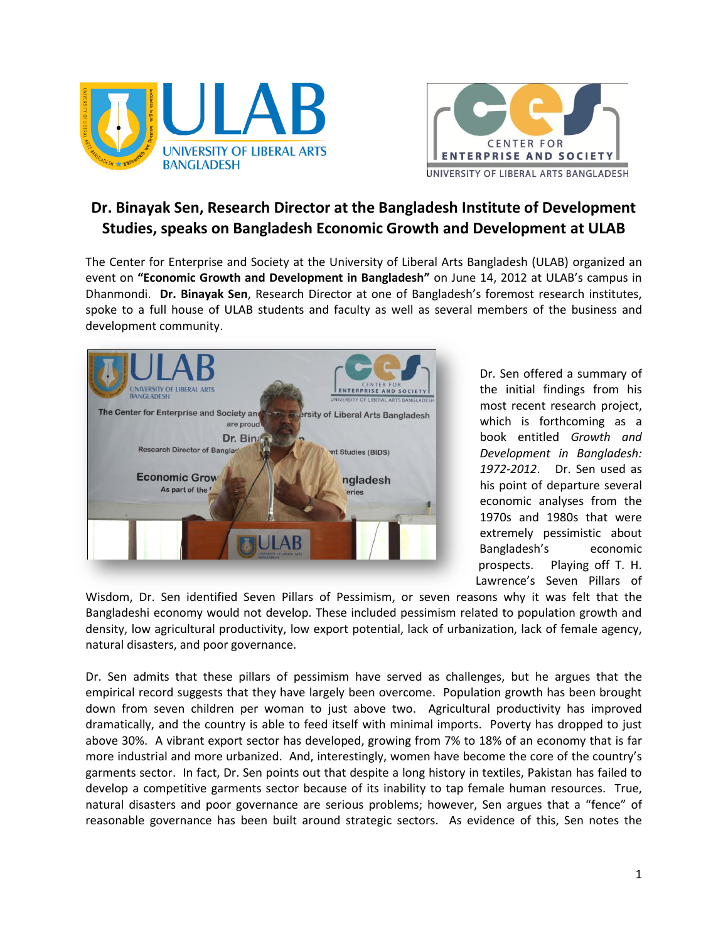



## **Dr. Binayak Sen, Research Director at the Bangladesh Institute of Development Studies, speaks on Bangladesh Economic Growth and Development at ULAB**

The Center for Enterprise and Society at the University of Liberal Arts Bangladesh (ULAB) organized an event on **"Economic Growth and Development in Bangladesh"** on June 14, 2012 at ULAB's campus in Dhanmondi. **Dr. Binayak Sen**, Research Director at one of Bangladesh's foremost research institutes, spoke to a full house of ULAB students and faculty as well as several members of the business and development community.



Dr. Sen offered a summary of the initial findings from his most recent research project, which is forthcoming as a book entitled *Growth and Development in Bangladesh: 1972-2012*. Dr. Sen used as his point of departure several economic analyses from the 1970s and 1980s that were extremely pessimistic about Bangladesh's economic prospects. Playing off T. H. Lawrence's Seven Pillars of

Wisdom, Dr. Sen identified Seven Pillars of Pessimism, or seven reasons why it was felt that the Bangladeshi economy would not develop. These included pessimism related to population growth and density, low agricultural productivity, low export potential, lack of urbanization, lack of female agency, natural disasters, and poor governance.

Dr. Sen admits that these pillars of pessimism have served as challenges, but he argues that the empirical record suggests that they have largely been overcome. Population growth has been brought down from seven children per woman to just above two. Agricultural productivity has improved dramatically, and the country is able to feed itself with minimal imports. Poverty has dropped to just above 30%. A vibrant export sector has developed, growing from 7% to 18% of an economy that is far more industrial and more urbanized. And, interestingly, women have become the core of the country's garments sector. In fact, Dr. Sen points out that despite a long history in textiles, Pakistan has failed to develop a competitive garments sector because of its inability to tap female human resources. True, natural disasters and poor governance are serious problems; however, Sen argues that a "fence" of reasonable governance has been built around strategic sectors. As evidence of this, Sen notes the